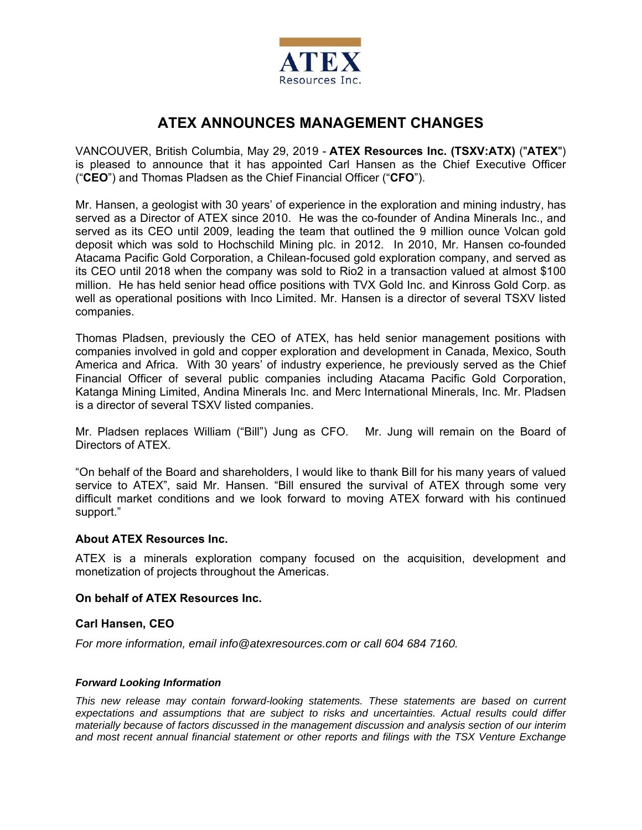

# **ATEX ANNOUNCES MANAGEMENT CHANGES**

VANCOUVER, British Columbia, May 29, 2019 - **ATEX Resources Inc. (TSXV:ATX)** ("**ATEX**") is pleased to announce that it has appointed Carl Hansen as the Chief Executive Officer ("**CEO**") and Thomas Pladsen as the Chief Financial Officer ("**CFO**").

Mr. Hansen, a geologist with 30 years' of experience in the exploration and mining industry, has served as a Director of ATEX since 2010. He was the co-founder of Andina Minerals Inc., and served as its CEO until 2009, leading the team that outlined the 9 million ounce Volcan gold deposit which was sold to Hochschild Mining plc. in 2012. In 2010, Mr. Hansen co-founded Atacama Pacific Gold Corporation, a Chilean-focused gold exploration company, and served as its CEO until 2018 when the company was sold to Rio2 in a transaction valued at almost \$100 million. He has held senior head office positions with TVX Gold Inc. and Kinross Gold Corp. as well as operational positions with Inco Limited. Mr. Hansen is a director of several TSXV listed companies.

Thomas Pladsen, previously the CEO of ATEX, has held senior management positions with companies involved in gold and copper exploration and development in Canada, Mexico, South America and Africa. With 30 years' of industry experience, he previously served as the Chief Financial Officer of several public companies including Atacama Pacific Gold Corporation, Katanga Mining Limited, Andina Minerals Inc. and Merc International Minerals, Inc. Mr. Pladsen is a director of several TSXV listed companies.

Mr. Pladsen replaces William ("Bill") Jung as CFO. Mr. Jung will remain on the Board of Directors of ATEX.

"On behalf of the Board and shareholders, I would like to thank Bill for his many years of valued service to ATEX", said Mr. Hansen. "Bill ensured the survival of ATEX through some very difficult market conditions and we look forward to moving ATEX forward with his continued support."

## **About ATEX Resources Inc.**

ATEX is a minerals exploration company focused on the acquisition, development and monetization of projects throughout the Americas.

### **On behalf of ATEX Resources Inc.**

### **Carl Hansen, CEO**

*For more information, email info@atexresources.com or call 604 684 7160.* 

### *Forward Looking Information*

*This new release may contain forward-looking statements. These statements are based on current expectations and assumptions that are subject to risks and uncertainties. Actual results could differ materially because of factors discussed in the management discussion and analysis section of our interim and most recent annual financial statement or other reports and filings with the TSX Venture Exchange*